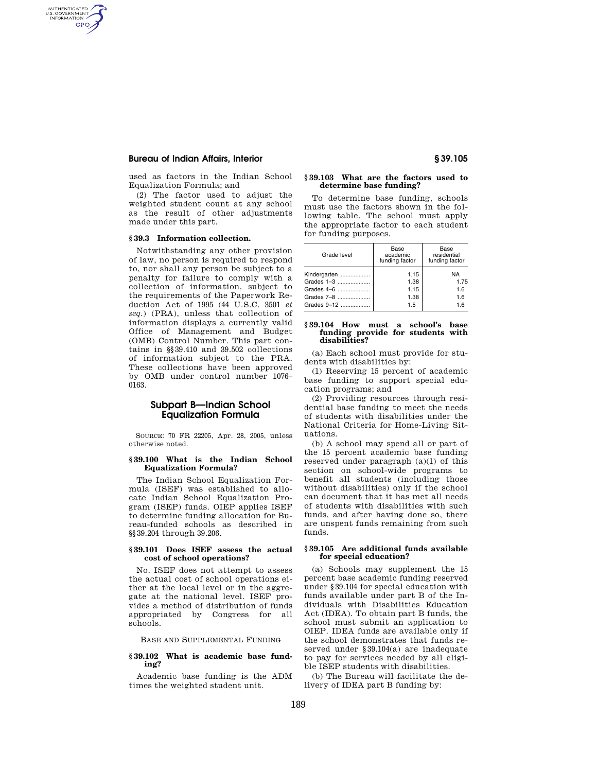# **Bureau of Indian Affairs, Interior § 39.105**

AUTHENTICATED<br>U.S. GOVERNMENT<br>INFORMATION **GPO** 

> used as factors in the Indian School Equalization Formula; and

(2) The factor used to adjust the weighted student count at any school as the result of other adjustments made under this part.

# **§ 39.3 Information collection.**

Notwithstanding any other provision of law, no person is required to respond to, nor shall any person be subject to a penalty for failure to comply with a collection of information, subject to the requirements of the Paperwork Reduction Act of 1995 (44 U.S.C. 3501 *et seq.*) (PRA), unless that collection of information displays a currently valid Office of Management and Budget (OMB) Control Number. This part contains in §§39.410 and 39.502 collections of information subject to the PRA. These collections have been approved by OMB under control number 1076– 0163.

# **Subpart B—Indian School Equalization Formula**

SOURCE: 70 FR 22205, Apr. 28, 2005, unless otherwise noted.

# **§ 39.100 What is the Indian School Equalization Formula?**

The Indian School Equalization Formula (ISEF) was established to allocate Indian School Equalization Program (ISEP) funds. OIEP applies ISEF to determine funding allocation for Bureau-funded schools as described in §§39.204 through 39.206.

### **§ 39.101 Does ISEF assess the actual cost of school operations?**

No. ISEF does not attempt to assess the actual cost of school operations either at the local level or in the aggregate at the national level. ISEF provides a method of distribution of funds appropriated by Congress for all schools.

BASE AND SUPPLEMENTAL FUNDING

# **§ 39.102 What is academic base funding?**

Academic base funding is the ADM times the weighted student unit.

# **§ 39.103 What are the factors used to determine base funding?**

To determine base funding, schools must use the factors shown in the following table. The school must apply the appropriate factor to each student for funding purposes.

| Grade level  | Base<br>academic<br>funding factor | Base<br>residential<br>funding factor |
|--------------|------------------------------------|---------------------------------------|
| Kindergarten | 1.15                               | NA                                    |
| Grades 1-3   | 1.38                               | 1.75                                  |
| Grades 4-6   | 1.15                               | 1.6                                   |
| Grades 7-8   | 1.38                               | 1.6                                   |
| Grades 9-12  | 1.5                                | 1 6                                   |

### **§ 39.104 How must a school's base funding provide for students with disabilities?**

(a) Each school must provide for students with disabilities by:

(1) Reserving 15 percent of academic base funding to support special education programs; and

(2) Providing resources through residential base funding to meet the needs of students with disabilities under the National Criteria for Home-Living Situations.

(b) A school may spend all or part of the 15 percent academic base funding reserved under paragraph (a)(1) of this section on school-wide programs to benefit all students (including those without disabilities) only if the school can document that it has met all needs of students with disabilities with such funds, and after having done so, there are unspent funds remaining from such funds.

### **§ 39.105 Are additional funds available for special education?**

(a) Schools may supplement the 15 percent base academic funding reserved under §39.104 for special education with funds available under part B of the Individuals with Disabilities Education Act (IDEA). To obtain part B funds, the school must submit an application to OIEP. IDEA funds are available only if the school demonstrates that funds reserved under §39.104(a) are inadequate to pay for services needed by all eligible ISEP students with disabilities.

(b) The Bureau will facilitate the delivery of IDEA part B funding by: